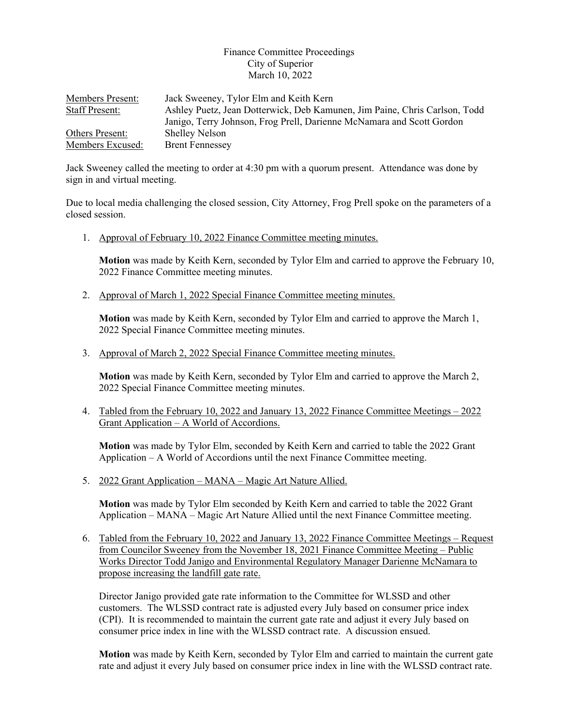## Finance Committee Proceedings City of Superior March 10, 2022

| <b>Members Present:</b> | Jack Sweeney, Tylor Elm and Keith Kern                                     |
|-------------------------|----------------------------------------------------------------------------|
| <b>Staff Present:</b>   | Ashley Puetz, Jean Dotterwick, Deb Kamunen, Jim Paine, Chris Carlson, Todd |
|                         | Janigo, Terry Johnson, Frog Prell, Darienne McNamara and Scott Gordon      |
| Others Present:         | <b>Shelley Nelson</b>                                                      |
| Members Excused:        | <b>Brent Fennessey</b>                                                     |

Jack Sweeney called the meeting to order at 4:30 pm with a quorum present. Attendance was done by sign in and virtual meeting.

Due to local media challenging the closed session, City Attorney, Frog Prell spoke on the parameters of a closed session.

1. Approval of February 10, 2022 Finance Committee meeting minutes.

**Motion** was made by Keith Kern, seconded by Tylor Elm and carried to approve the February 10, 2022 Finance Committee meeting minutes.

2. Approval of March 1, 2022 Special Finance Committee meeting minutes.

**Motion** was made by Keith Kern, seconded by Tylor Elm and carried to approve the March 1, 2022 Special Finance Committee meeting minutes.

3. Approval of March 2, 2022 Special Finance Committee meeting minutes.

**Motion** was made by Keith Kern, seconded by Tylor Elm and carried to approve the March 2, 2022 Special Finance Committee meeting minutes.

4. Tabled from the February 10, 2022 and January 13, 2022 Finance Committee Meetings – 2022 Grant Application – A World of Accordions.

**Motion** was made by Tylor Elm, seconded by Keith Kern and carried to table the 2022 Grant Application  $-A$  World of Accordions until the next Finance Committee meeting.

5. 2022 Grant Application – MANA – Magic Art Nature Allied.

**Motion** was made by Tylor Elm seconded by Keith Kern and carried to table the 2022 Grant Application – MANA – Magic Art Nature Allied until the next Finance Committee meeting.

6. Tabled from the February 10, 2022 and January 13, 2022 Finance Committee Meetings – Request from Councilor Sweeney from the November 18, 2021 Finance Committee Meeting – Public Works Director Todd Janigo and Environmental Regulatory Manager Darienne McNamara to propose increasing the landfill gate rate.

Director Janigo provided gate rate information to the Committee for WLSSD and other customers. The WLSSD contract rate is adjusted every July based on consumer price index (CPI). It is recommended to maintain the current gate rate and adjust it every July based on consumer price index in line with the WLSSD contract rate. A discussion ensued.

**Motion** was made by Keith Kern, seconded by Tylor Elm and carried to maintain the current gate rate and adjust it every July based on consumer price index in line with the WLSSD contract rate.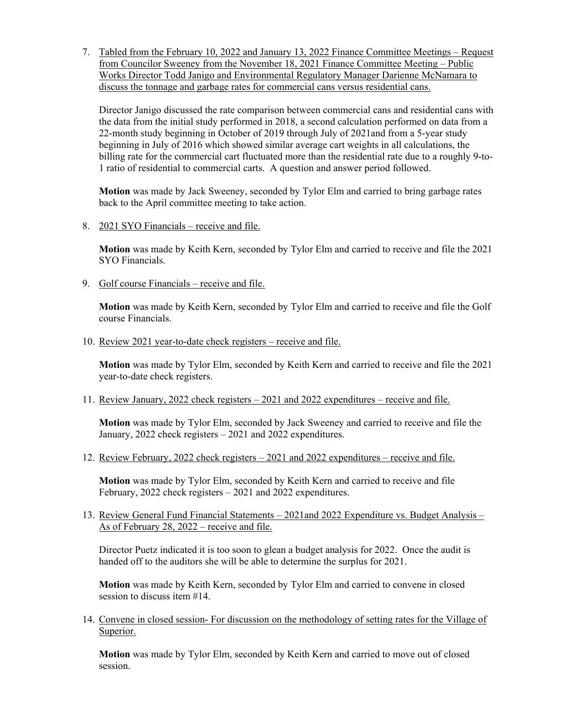7. Tabled from the February 10, 2022 and January 13, 2022 Finance Committee Meetings – Request from Councilor Sweeney from the November 18, 2021 Finance Committee Meeting – Public Works Director Todd Janigo and Environmental Regulatory Manager Darienne McNamara to discuss the tonnage and garbage rates for commercial cans versus residential cans.

Director Janigo discussed the rate comparison between commercial cans and residential cans with the data from the initial study performed in 2018, a second calculation performed on data from a 22-month study beginning in October of 2019 through July of 2021and from a 5-year study beginning in July of 2016 which showed similar average cart weights in all calculations, the billing rate for the commercial cart fluctuated more than the residential rate due to a roughly 9-to-1 ratio of residential to commercial carts. A question and answer period followed.

**Motion** was made by Jack Sweeney, seconded by Tylor Elm and carried to bring garbage rates back to the April committee meeting to take action.

8. 2021 SYO Financials – receive and file.

**Motion** was made by Keith Kern, seconded by Tylor Elm and carried to receive and file the 2021 SYO Financials.

9. Golf course Financials – receive and file.

**Motion** was made by Keith Kern, seconded by Tylor Elm and carried to receive and file the Golf course Financials.

10. Review 2021 year-to-date check registers – receive and file.

**Motion** was made by Tylor Elm, seconded by Keith Kern and carried to receive and file the 2021 year-to-date check registers.

11. Review January, 2022 check registers – 2021 and 2022 expenditures – receive and file.

**Motion** was made by Tylor Elm, seconded by Jack Sweeney and carried to receive and file the January, 2022 check registers – 2021 and 2022 expenditures.

12. Review February, 2022 check registers – 2021 and 2022 expenditures – receive and file.

**Motion** was made by Tylor Elm, seconded by Keith Kern and carried to receive and file February, 2022 check registers – 2021 and 2022 expenditures.

13. Review General Fund Financial Statements – 2021and 2022 Expenditure vs. Budget Analysis – As of February 28, 2022 – receive and file.

Director Puetz indicated it is too soon to glean a budget analysis for 2022. Once the audit is handed off to the auditors she will be able to determine the surplus for 2021.

**Motion** was made by Keith Kern, seconded by Tylor Elm and carried to convene in closed session to discuss item #14.

14. Convene in closed session- For discussion on the methodology of setting rates for the Village of Superior.

**Motion** was made by Tylor Elm, seconded by Keith Kern and carried to move out of closed session.